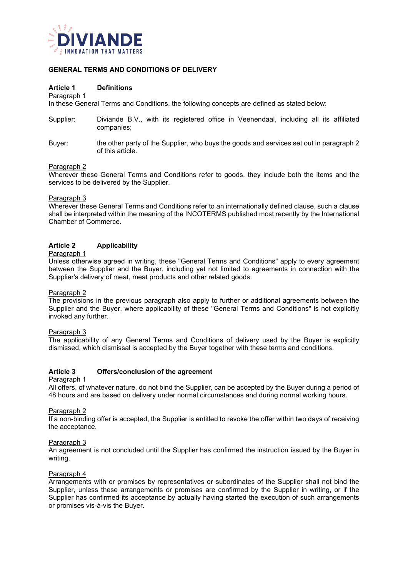

# **GENERAL TERMS AND CONDITIONS OF DELIVERY**

## **Article 1 Definitions**

#### Paragraph 1

In these General Terms and Conditions, the following concepts are defined as stated below:

- Supplier: Diviande B.V., with its registered office in Veenendaal, including all its affiliated companies;
- Buyer: the other party of the Supplier, who buys the goods and services set out in paragraph 2 of this article.

#### Paragraph 2

Wherever these General Terms and Conditions refer to goods, they include both the items and the services to be delivered by the Supplier.

#### Paragraph 3

Wherever these General Terms and Conditions refer to an internationally defined clause, such a clause shall be interpreted within the meaning of the INCOTERMS published most recently by the International Chamber of Commerce.

## **Article 2 Applicability**

#### Paragraph 1

Unless otherwise agreed in writing, these "General Terms and Conditions" apply to every agreement between the Supplier and the Buyer, including yet not limited to agreements in connection with the Supplier's delivery of meat, meat products and other related goods.

#### Paragraph 2

The provisions in the previous paragraph also apply to further or additional agreements between the Supplier and the Buyer, where applicability of these "General Terms and Conditions" is not explicitly invoked any further.

#### Paragraph 3

The applicability of any General Terms and Conditions of delivery used by the Buyer is explicitly dismissed, which dismissal is accepted by the Buyer together with these terms and conditions.

# **Article 3 Offers/conclusion of the agreement**

## Paragraph 1

All offers, of whatever nature, do not bind the Supplier, can be accepted by the Buyer during a period of 48 hours and are based on delivery under normal circumstances and during normal working hours.

#### Paragraph 2

If a non-binding offer is accepted, the Supplier is entitled to revoke the offer within two days of receiving the acceptance.

#### Paragraph 3

An agreement is not concluded until the Supplier has confirmed the instruction issued by the Buyer in writing.

#### Paragraph 4

Arrangements with or promises by representatives or subordinates of the Supplier shall not bind the Supplier, unless these arrangements or promises are confirmed by the Supplier in writing, or if the Supplier has confirmed its acceptance by actually having started the execution of such arrangements or promises vis-à-vis the Buyer.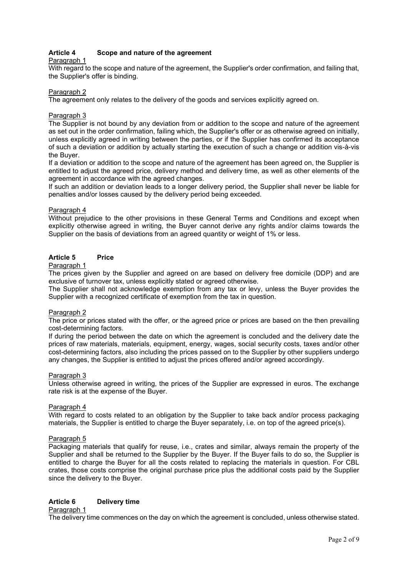# **Article 4 Scope and nature of the agreement**

## Paragraph 1

With regard to the scope and nature of the agreement, the Supplier's order confirmation, and failing that, the Supplier's offer is binding.

## Paragraph 2

The agreement only relates to the delivery of the goods and services explicitly agreed on.

## Paragraph 3

The Supplier is not bound by any deviation from or addition to the scope and nature of the agreement as set out in the order confirmation, failing which, the Supplier's offer or as otherwise agreed on initially, unless explicitly agreed in writing between the parties, or if the Supplier has confirmed its acceptance of such a deviation or addition by actually starting the execution of such a change or addition vis-à-vis the Buyer.

If a deviation or addition to the scope and nature of the agreement has been agreed on, the Supplier is entitled to adjust the agreed price, delivery method and delivery time, as well as other elements of the agreement in accordance with the agreed changes.

If such an addition or deviation leads to a longer delivery period, the Supplier shall never be liable for penalties and/or losses caused by the delivery period being exceeded.

## Paragraph 4

Without prejudice to the other provisions in these General Terms and Conditions and except when explicitly otherwise agreed in writing, the Buyer cannot derive any rights and/or claims towards the Supplier on the basis of deviations from an agreed quantity or weight of 1% or less.

# **Article 5 Price**

## Paragraph 1

The prices given by the Supplier and agreed on are based on delivery free domicile (DDP) and are exclusive of turnover tax, unless explicitly stated or agreed otherwise.

The Supplier shall not acknowledge exemption from any tax or levy, unless the Buyer provides the Supplier with a recognized certificate of exemption from the tax in question.

## Paragraph 2

The price or prices stated with the offer, or the agreed price or prices are based on the then prevailing cost-determining factors.

If during the period between the date on which the agreement is concluded and the delivery date the prices of raw materials, materials, equipment, energy, wages, social security costs, taxes and/or other cost-determining factors, also including the prices passed on to the Supplier by other suppliers undergo any changes, the Supplier is entitled to adjust the prices offered and/or agreed accordingly.

## Paragraph 3

Unless otherwise agreed in writing, the prices of the Supplier are expressed in euros. The exchange rate risk is at the expense of the Buyer.

## Paragraph 4

With regard to costs related to an obligation by the Supplier to take back and/or process packaging materials, the Supplier is entitled to charge the Buyer separately, i.e. on top of the agreed price(s).

## Paragraph 5

Packaging materials that qualify for reuse, i.e., crates and similar, always remain the property of the Supplier and shall be returned to the Supplier by the Buyer. If the Buyer fails to do so, the Supplier is entitled to charge the Buyer for all the costs related to replacing the materials in question. For CBL crates, those costs comprise the original purchase price plus the additional costs paid by the Supplier since the delivery to the Buyer.

# **Article 6 Delivery time**

## Paragraph 1

The delivery time commences on the day on which the agreement is concluded, unless otherwise stated.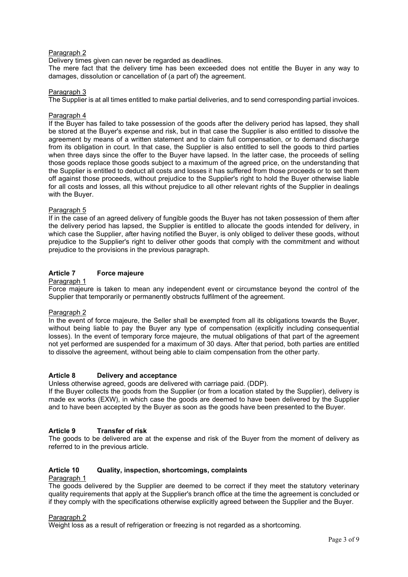Delivery times given can never be regarded as deadlines.

The mere fact that the delivery time has been exceeded does not entitle the Buyer in any way to damages, dissolution or cancellation of (a part of) the agreement.

## Paragraph 3

The Supplier is at all times entitled to make partial deliveries, and to send corresponding partial invoices.

## Paragraph 4

If the Buyer has failed to take possession of the goods after the delivery period has lapsed, they shall be stored at the Buyer's expense and risk, but in that case the Supplier is also entitled to dissolve the agreement by means of a written statement and to claim full compensation, or to demand discharge from its obligation in court. In that case, the Supplier is also entitled to sell the goods to third parties when three days since the offer to the Buyer have lapsed. In the latter case, the proceeds of selling those goods replace those goods subject to a maximum of the agreed price, on the understanding that the Supplier is entitled to deduct all costs and losses it has suffered from those proceeds or to set them off against those proceeds, without prejudice to the Supplier's right to hold the Buyer otherwise liable for all costs and losses, all this without prejudice to all other relevant rights of the Supplier in dealings with the Buyer.

## Paragraph 5

If in the case of an agreed delivery of fungible goods the Buyer has not taken possession of them after the delivery period has lapsed, the Supplier is entitled to allocate the goods intended for delivery, in which case the Supplier, after having notified the Buyer, is only obliged to deliver these goods, without prejudice to the Supplier's right to deliver other goods that comply with the commitment and without prejudice to the provisions in the previous paragraph.

## **Article 7 Force majeure**

#### Paragraph 1

Force majeure is taken to mean any independent event or circumstance beyond the control of the Supplier that temporarily or permanently obstructs fulfilment of the agreement.

## Paragraph 2

In the event of force majeure, the Seller shall be exempted from all its obligations towards the Buyer, without being liable to pay the Buyer any type of compensation (explicitly including consequential losses). In the event of temporary force majeure, the mutual obligations of that part of the agreement not yet performed are suspended for a maximum of 30 days. After that period, both parties are entitled to dissolve the agreement, without being able to claim compensation from the other party.

## **Article 8 Delivery and acceptance**

Unless otherwise agreed, goods are delivered with carriage paid. (DDP).

If the Buyer collects the goods from the Supplier (or from a location stated by the Supplier), delivery is made ex works (EXW), in which case the goods are deemed to have been delivered by the Supplier and to have been accepted by the Buyer as soon as the goods have been presented to the Buyer.

## **Article 9 Transfer of risk**

The goods to be delivered are at the expense and risk of the Buyer from the moment of delivery as referred to in the previous article.

# **Article 10 Quality, inspection, shortcomings, complaints**

# Paragraph 1

The goods delivered by the Supplier are deemed to be correct if they meet the statutory veterinary quality requirements that apply at the Supplier's branch office at the time the agreement is concluded or if they comply with the specifications otherwise explicitly agreed between the Supplier and the Buyer.

## Paragraph 2

Weight loss as a result of refrigeration or freezing is not regarded as a shortcoming.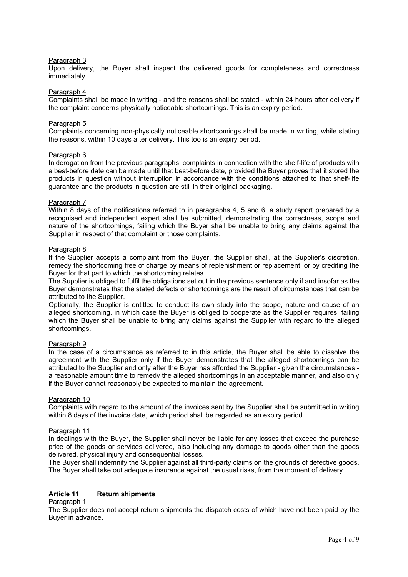Upon delivery, the Buyer shall inspect the delivered goods for completeness and correctness immediately.

#### Paragraph 4

Complaints shall be made in writing - and the reasons shall be stated - within 24 hours after delivery if the complaint concerns physically noticeable shortcomings. This is an expiry period.

#### Paragraph 5

Complaints concerning non-physically noticeable shortcomings shall be made in writing, while stating the reasons, within 10 days after delivery. This too is an expiry period.

#### Paragraph 6

In derogation from the previous paragraphs, complaints in connection with the shelf-life of products with a best-before date can be made until that best-before date, provided the Buyer proves that it stored the products in question without interruption in accordance with the conditions attached to that shelf-life guarantee and the products in question are still in their original packaging.

#### Paragraph 7

Within 8 days of the notifications referred to in paragraphs 4, 5 and 6, a study report prepared by a recognised and independent expert shall be submitted, demonstrating the correctness, scope and nature of the shortcomings, failing which the Buyer shall be unable to bring any claims against the Supplier in respect of that complaint or those complaints.

#### Paragraph 8

If the Supplier accepts a complaint from the Buyer, the Supplier shall, at the Supplier's discretion, remedy the shortcoming free of charge by means of replenishment or replacement, or by crediting the Buyer for that part to which the shortcoming relates.

The Supplier is obliged to fulfil the obligations set out in the previous sentence only if and insofar as the Buyer demonstrates that the stated defects or shortcomings are the result of circumstances that can be attributed to the Supplier.

Optionally, the Supplier is entitled to conduct its own study into the scope, nature and cause of an alleged shortcoming, in which case the Buyer is obliged to cooperate as the Supplier requires, failing which the Buyer shall be unable to bring any claims against the Supplier with regard to the alleged shortcomings.

## Paragraph 9

In the case of a circumstance as referred to in this article, the Buyer shall be able to dissolve the agreement with the Supplier only if the Buyer demonstrates that the alleged shortcomings can be attributed to the Supplier and only after the Buyer has afforded the Supplier - given the circumstances a reasonable amount time to remedy the alleged shortcomings in an acceptable manner, and also only if the Buyer cannot reasonably be expected to maintain the agreement.

#### Paragraph 10

Complaints with regard to the amount of the invoices sent by the Supplier shall be submitted in writing within 8 days of the invoice date, which period shall be regarded as an expiry period.

#### Paragraph 11

In dealings with the Buyer, the Supplier shall never be liable for any losses that exceed the purchase price of the goods or services delivered, also including any damage to goods other than the goods delivered, physical injury and consequential losses.

The Buyer shall indemnify the Supplier against all third-party claims on the grounds of defective goods. The Buyer shall take out adequate insurance against the usual risks, from the moment of delivery.

## **Article 11 Return shipments**

## Paragraph 1

The Supplier does not accept return shipments the dispatch costs of which have not been paid by the Buyer in advance.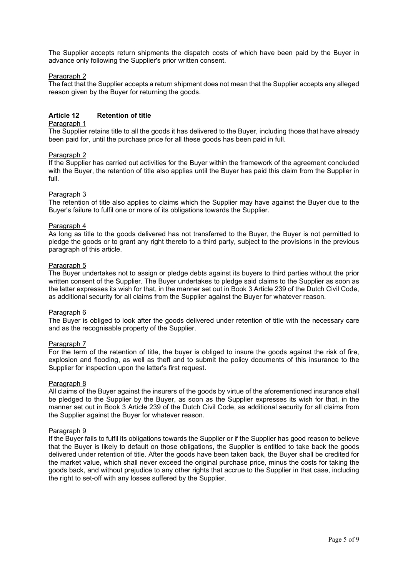The Supplier accepts return shipments the dispatch costs of which have been paid by the Buyer in advance only following the Supplier's prior written consent.

## Paragraph 2

The fact that the Supplier accepts a return shipment does not mean that the Supplier accepts any alleged reason given by the Buyer for returning the goods.

# **Article 12 Retention of title**

## Paragraph 1

The Supplier retains title to all the goods it has delivered to the Buyer, including those that have already been paid for, until the purchase price for all these goods has been paid in full.

## Paragraph 2

If the Supplier has carried out activities for the Buyer within the framework of the agreement concluded with the Buyer, the retention of title also applies until the Buyer has paid this claim from the Supplier in full.

## Paragraph 3

The retention of title also applies to claims which the Supplier may have against the Buyer due to the Buyer's failure to fulfil one or more of its obligations towards the Supplier.

## Paragraph 4

As long as title to the goods delivered has not transferred to the Buyer, the Buyer is not permitted to pledge the goods or to grant any right thereto to a third party, subject to the provisions in the previous paragraph of this article.

## Paragraph 5

The Buyer undertakes not to assign or pledge debts against its buyers to third parties without the prior written consent of the Supplier. The Buyer undertakes to pledge said claims to the Supplier as soon as the latter expresses its wish for that, in the manner set out in Book 3 Article 239 of the Dutch Civil Code, as additional security for all claims from the Supplier against the Buyer for whatever reason.

## Paragraph 6

The Buyer is obliged to look after the goods delivered under retention of title with the necessary care and as the recognisable property of the Supplier.

## Paragraph 7

For the term of the retention of title, the buyer is obliged to insure the goods against the risk of fire, explosion and flooding, as well as theft and to submit the policy documents of this insurance to the Supplier for inspection upon the latter's first request.

## Paragraph 8

All claims of the Buyer against the insurers of the goods by virtue of the aforementioned insurance shall be pledged to the Supplier by the Buyer, as soon as the Supplier expresses its wish for that, in the manner set out in Book 3 Article 239 of the Dutch Civil Code, as additional security for all claims from the Supplier against the Buyer for whatever reason.

## Paragraph 9

If the Buyer fails to fulfil its obligations towards the Supplier or if the Supplier has good reason to believe that the Buyer is likely to default on those obligations, the Supplier is entitled to take back the goods delivered under retention of title. After the goods have been taken back, the Buyer shall be credited for the market value, which shall never exceed the original purchase price, minus the costs for taking the goods back, and without prejudice to any other rights that accrue to the Supplier in that case, including the right to set-off with any losses suffered by the Supplier.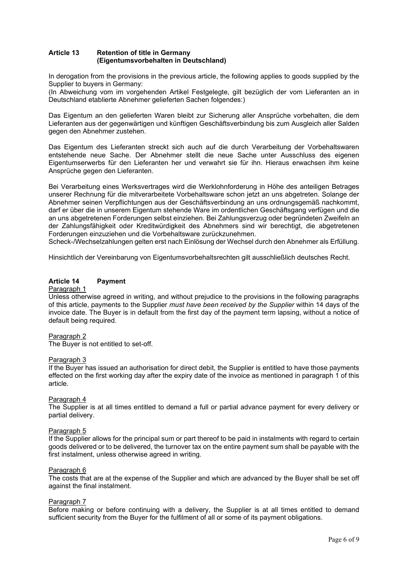## **Article 13 Retention of title in Germany (Eigentumsvorbehalten in Deutschland)**

In derogation from the provisions in the previous article, the following applies to goods supplied by the Supplier to buyers in Germany:

(In Abweichung vom im vorgehenden Artikel Festgelegte, gilt bezüglich der vom Lieferanten an in Deutschland etablierte Abnehmer gelieferten Sachen folgendes:)

Das Eigentum an den gelieferten Waren bleibt zur Sicherung aller Ansprüche vorbehalten, die dem Lieferanten aus der gegenwärtigen und künftigen Geschäftsverbindung bis zum Ausgleich aller Salden gegen den Abnehmer zustehen.

Das Eigentum des Lieferanten streckt sich auch auf die durch Verarbeitung der Vorbehaltswaren entstehende neue Sache. Der Abnehmer stellt die neue Sache unter Ausschluss des eigenen Eigentumserwerbs für den Lieferanten her und verwahrt sie für ihn. Hieraus erwachsen ihm keine Ansprüche gegen den Lieferanten.

Bei Verarbeitung eines Werksvertrages wird die Werklohnforderung in Höhe des anteiligen Betrages unserer Rechnung für die mitverarbeitete Vorbehaltsware schon jetzt an uns abgetreten. Solange der Abnehmer seinen Verpflichtungen aus der Geschäftsverbindung an uns ordnungsgemäß nachkommt, darf er über die in unserem Eigentum stehende Ware im ordentlichen Geschäftsgang verfügen und die an uns abgetretenen Forderungen selbst einziehen. Bei Zahlungsverzug oder begründeten Zweifeln an der Zahlungsfähigkeit oder Kreditwürdigkeit des Abnehmers sind wir berechtigt, die abgetretenen Forderungen einzuziehen und die Vorbehaltsware zurückzunehmen.

Scheck-/Wechselzahlungen gelten erst nach Einlösung der Wechsel durch den Abnehmer als Erfüllung.

Hinsichtlich der Vereinbarung von Eigentumsvorbehaltsrechten gilt ausschließlich deutsches Recht.

# **Article 14 Payment**

## Paragraph 1

Unless otherwise agreed in writing, and without prejudice to the provisions in the following paragraphs of this article, payments to the Supplier *must have been received by the Supplier* within 14 days of the invoice date. The Buyer is in default from the first day of the payment term lapsing, without a notice of default being required.

## Paragraph 2

The Buyer is not entitled to set-off.

## Paragraph 3

If the Buyer has issued an authorisation for direct debit, the Supplier is entitled to have those payments effected on the first working day after the expiry date of the invoice as mentioned in paragraph 1 of this article.

## Paragraph 4

The Supplier is at all times entitled to demand a full or partial advance payment for every delivery or partial delivery.

## Paragraph 5

If the Supplier allows for the principal sum or part thereof to be paid in instalments with regard to certain goods delivered or to be delivered, the turnover tax on the entire payment sum shall be payable with the first instalment, unless otherwise agreed in writing.

## Paragraph 6

The costs that are at the expense of the Supplier and which are advanced by the Buyer shall be set off against the final instalment.

#### Paragraph 7

Before making or before continuing with a delivery, the Supplier is at all times entitled to demand sufficient security from the Buyer for the fulfilment of all or some of its payment obligations.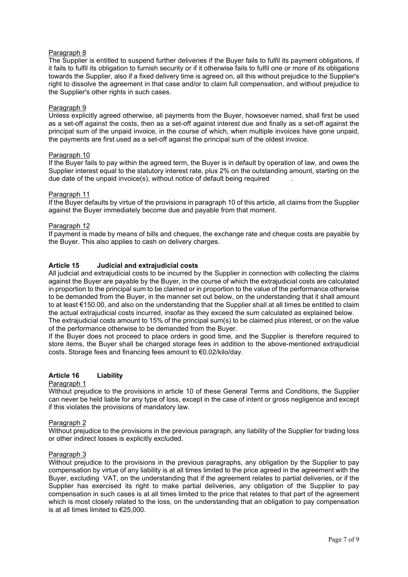The Supplier is entitled to suspend further deliveries if the Buyer fails to fulfil its payment obligations, if it fails to fulfil its obligation to furnish security or if it otherwise fails to fulfil one or more of its obligations towards the Supplier, also if a fixed delivery time is agreed on, all this without prejudice to the Supplier's right to dissolve the agreement in that case and/or to claim full compensation, and without prejudice to the Supplier's other rights in such cases.

## Paragraph 9

Unless explicitly agreed otherwise, all payments from the Buyer, howsoever named, shall first be used as a set-off against the costs, then as a set-off against interest due and finally as a set-off against the principal sum of the unpaid invoice, in the course of which, when multiple invoices have gone unpaid, the payments are first used as a set-off against the principal sum of the oldest invoice.

## Paragraph 10

If the Buyer fails to pay within the agreed term, the Buyer is in default by operation of law, and owes the Supplier interest equal to the statutory interest rate, plus 2% on the outstanding amount, starting on the due date of the unpaid invoice(s), without notice of default being required

#### Paragraph 11

If the Buyer defaults by virtue of the provisions in paragraph 10 of this article, all claims from the Supplier against the Buyer immediately become due and payable from that moment.

## Paragraph 12

If payment is made by means of bills and cheques, the exchange rate and cheque costs are payable by the Buyer. This also applies to cash on delivery charges.

## **Article 15 Judicial and extrajudicial costs**

All judicial and extrajudicial costs to be incurred by the Supplier in connection with collecting the claims against the Buyer are payable by the Buyer, in the course of which the extrajudicial costs are calculated in proportion to the principal sum to be claimed or in proportion to the value of the performance otherwise to be demanded from the Buyer, in the manner set out below, on the understanding that it shall amount to at least €150.00, and also on the understanding that the Supplier shall at all times be entitled to claim the actual extrajudicial costs incurred, insofar as they exceed the sum calculated as explained below. The extrajudicial costs amount to 15% of the principal sum(s) to be claimed plus interest, or on the value of the performance otherwise to be demanded from the Buyer.

If the Buyer does not proceed to place orders in good time, and the Supplier is therefore required to store items, the Buyer shall be charged storage fees in addition to the above-mentioned extrajudicial costs. Storage fees and financing fees amount to €0.02/kilo/day.

## **Article 16 Liability**

#### Paragraph 1

Without prejudice to the provisions in article 10 of these General Terms and Conditions, the Supplier can never be held liable for any type of loss, except in the case of intent or gross negligence and except if this violates the provisions of mandatory law.

## Paragraph 2

Without prejudice to the provisions in the previous paragraph, any liability of the Supplier for trading loss or other indirect losses is explicitly excluded.

#### Paragraph 3

Without prejudice to the provisions in the previous paragraphs, any obligation by the Supplier to pay compensation by virtue of any liability is at all times limited to the price agreed in the agreement with the Buyer, excluding VAT, on the understanding that if the agreement relates to partial deliveries, or if the Supplier has exercised its right to make partial deliveries, any obligation of the Supplier to pay compensation in such cases is at all times limited to the price that relates to that part of the agreement which is most closely related to the loss, on the understanding that an obligation to pay compensation is at all times limited to €25,000.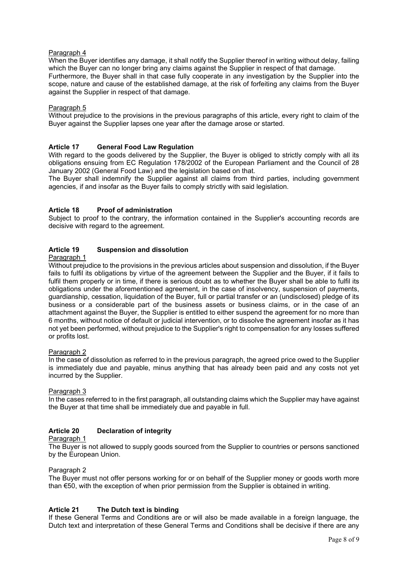When the Buyer identifies any damage, it shall notify the Supplier thereof in writing without delay, failing which the Buyer can no longer bring any claims against the Supplier in respect of that damage. Furthermore, the Buyer shall in that case fully cooperate in any investigation by the Supplier into the scope, nature and cause of the established damage, at the risk of forfeiting any claims from the Buyer against the Supplier in respect of that damage.

## Paragraph 5

Without prejudice to the provisions in the previous paragraphs of this article, every right to claim of the Buyer against the Supplier lapses one year after the damage arose or started.

## **Article 17 General Food Law Regulation**

With regard to the goods delivered by the Supplier, the Buyer is obliged to strictly comply with all its obligations ensuing from EC Regulation 178/2002 of the European Parliament and the Council of 28 January 2002 (General Food Law) and the legislation based on that.

The Buyer shall indemnify the Supplier against all claims from third parties, including government agencies, if and insofar as the Buyer fails to comply strictly with said legislation.

## **Article 18 Proof of administration**

Subject to proof to the contrary, the information contained in the Supplier's accounting records are decisive with regard to the agreement.

## **Article 19 Suspension and dissolution**

#### Paragraph 1

Without prejudice to the provisions in the previous articles about suspension and dissolution, if the Buyer fails to fulfil its obligations by virtue of the agreement between the Supplier and the Buyer, if it fails to fulfil them properly or in time, if there is serious doubt as to whether the Buyer shall be able to fulfil its obligations under the aforementioned agreement, in the case of insolvency, suspension of payments, guardianship, cessation, liquidation of the Buyer, full or partial transfer or an (undisclosed) pledge of its business or a considerable part of the business assets or business claims, or in the case of an attachment against the Buyer, the Supplier is entitled to either suspend the agreement for no more than 6 months, without notice of default or judicial intervention, or to dissolve the agreement insofar as it has not yet been performed, without prejudice to the Supplier's right to compensation for any losses suffered or profits lost.

## Paragraph 2

In the case of dissolution as referred to in the previous paragraph, the agreed price owed to the Supplier is immediately due and payable, minus anything that has already been paid and any costs not yet incurred by the Supplier.

# Paragraph 3

In the cases referred to in the first paragraph, all outstanding claims which the Supplier may have against the Buyer at that time shall be immediately due and payable in full.

# **Article 20 Declaration of integrity**

## Paragraph 1

The Buyer is not allowed to supply goods sourced from the Supplier to countries or persons sanctioned by the European Union.

## Paragraph 2

The Buyer must not offer persons working for or on behalf of the Supplier money or goods worth more than €50, with the exception of when prior permission from the Supplier is obtained in writing.

## **Article 21 The Dutch text is binding**

If these General Terms and Conditions are or will also be made available in a foreign language, the Dutch text and interpretation of these General Terms and Conditions shall be decisive if there are any